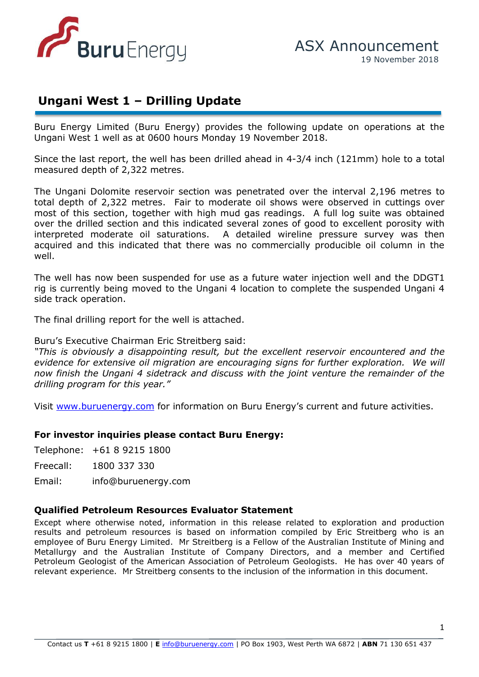

## **Ungani West 1 – Drilling Update**

Buru Energy Limited (Buru Energy) provides the following update on operations at the Ungani West 1 well as at 0600 hours Monday 19 November 2018.

Since the last report, the well has been drilled ahead in 4-3/4 inch (121mm) hole to a total measured depth of 2,322 metres.

total depth of 2,322 metres. Fair to moderate oil shows were observed in cuttings over The Ungani Dolomite reservoir section was penetrated over the interval 2,196 metres to most of this section, together with high mud gas readings. A full log suite was obtained over the drilled section and this indicated several zones of good to excellent porosity with interpreted moderate oil saturations. A detailed wireline pressure survey was then acquired and this indicated that there was no commercially producible oil column in the well.

The well has now been suspended for use as a future water injection well and the DDGT1 rig is currently being moved to the Ungani 4 location to complete the suspended Ungani 4 side track operation.

The final drilling report for the well is attached.

Buru's Executive Chairman Eric Streitberg said:

*"This is obviously a disappointing result, but the excellent reservoir encountered and the evidence for extensive oil migration are encouraging signs for further exploration. We will now finish the Ungani 4 sidetrack and discuss with the joint venture the remainder of the drilling program for this year."*

Visit [www.buruenergy.com](http://www.buruenergy.com/) for information on Buru Energy's current and future activities.

## **For investor inquiries please contact Buru Energy:**

Telephone: +61 8 9215 1800

Freecall: 1800 337 330

Email: [info@buruenergy.com](mailto:info@buruenergy.com)

## **Qualified Petroleum Resources Evaluator Statement**

Except where otherwise noted, information in this release related to exploration and production results and petroleum resources is based on information compiled by Eric Streitberg who is an employee of Buru Energy Limited. Mr Streitberg is a Fellow of the Australian Institute of Mining and Metallurgy and the Australian Institute of Company Directors, and a member and Certified Petroleum Geologist of the American Association of Petroleum Geologists. He has over 40 years of relevant experience. Mr Streitberg consents to the inclusion of the information in this document.